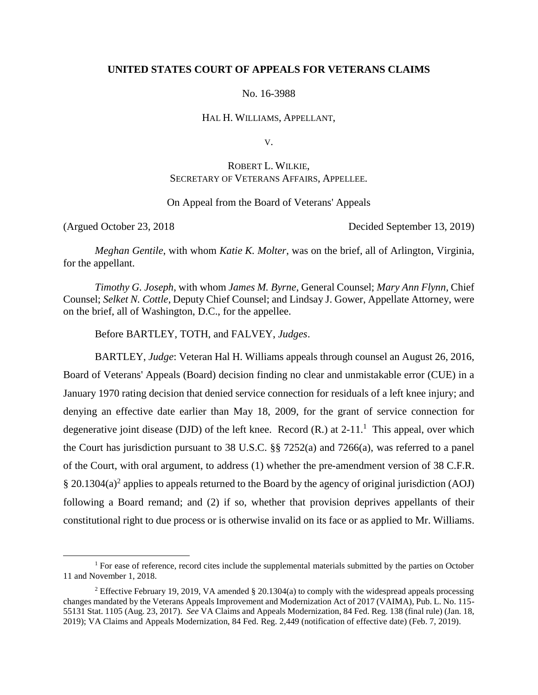# **UNITED STATES COURT OF APPEALS FOR VETERANS CLAIMS**

No. 16-3988

HAL H. WILLIAMS, APPELLANT,

V.

# ROBERT L. WILKIE, SECRETARY OF VETERANS AFFAIRS, APPELLEE.

## On Appeal from the Board of Veterans' Appeals

 $\overline{a}$ 

(Argued October 23, 2018 Decided September 13, 2019)

*Meghan Gentile*, with whom *Katie K. Molter*, was on the brief, all of Arlington, Virginia, for the appellant.

*Timothy G. Joseph*, with whom *James M. Byrne*, General Counsel; *Mary Ann Flynn*, Chief Counsel; *Selket N. Cottle*, Deputy Chief Counsel; and Lindsay J. Gower, Appellate Attorney, were on the brief, all of Washington, D.C., for the appellee.

Before BARTLEY, TOTH, and FALVEY, *Judges*.

BARTLEY, *Judge*: Veteran Hal H. Williams appeals through counsel an August 26, 2016, Board of Veterans' Appeals (Board) decision finding no clear and unmistakable error (CUE) in a January 1970 rating decision that denied service connection for residuals of a left knee injury; and denying an effective date earlier than May 18, 2009, for the grant of service connection for degenerative joint disease (DJD) of the left knee. Record  $(R<sub>1</sub>)$  at  $2-11<sup>1</sup>$ . This appeal, over which the Court has jurisdiction pursuant to 38 U.S.C. §§ 7252(a) and 7266(a), was referred to a panel of the Court, with oral argument, to address (1) whether the pre-amendment version of 38 C.F.R. § 20.1304(a)<sup>2</sup> applies to appeals returned to the Board by the agency of original jurisdiction (AOJ) following a Board remand; and (2) if so, whether that provision deprives appellants of their constitutional right to due process or is otherwise invalid on its face or as applied to Mr. Williams.

<sup>&</sup>lt;sup>1</sup> For ease of reference, record cites include the supplemental materials submitted by the parties on October 11 and November 1, 2018.

<sup>&</sup>lt;sup>2</sup> Effective February 19, 2019, VA amended § 20.1304(a) to comply with the widespread appeals processing changes mandated by the Veterans Appeals Improvement and Modernization Act of 2017 (VAIMA), Pub. L. No. 115- 55131 Stat. 1105 (Aug. 23, 2017). *See* VA Claims and Appeals Modernization, 84 Fed. Reg. 138 (final rule) (Jan. 18, 2019); VA Claims and Appeals Modernization, 84 Fed. Reg. 2,449 (notification of effective date) (Feb. 7, 2019).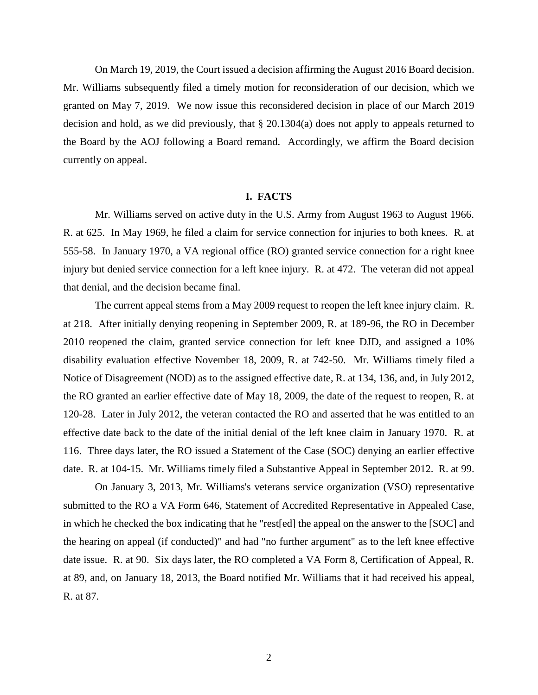On March 19, 2019, the Court issued a decision affirming the August 2016 Board decision. Mr. Williams subsequently filed a timely motion for reconsideration of our decision, which we granted on May 7, 2019. We now issue this reconsidered decision in place of our March 2019 decision and hold, as we did previously, that § 20.1304(a) does not apply to appeals returned to the Board by the AOJ following a Board remand. Accordingly, we affirm the Board decision currently on appeal.

#### **I. FACTS**

Mr. Williams served on active duty in the U.S. Army from August 1963 to August 1966. R. at 625. In May 1969, he filed a claim for service connection for injuries to both knees. R. at 555-58. In January 1970, a VA regional office (RO) granted service connection for a right knee injury but denied service connection for a left knee injury. R. at 472. The veteran did not appeal that denial, and the decision became final.

The current appeal stems from a May 2009 request to reopen the left knee injury claim. R. at 218. After initially denying reopening in September 2009, R. at 189-96, the RO in December 2010 reopened the claim, granted service connection for left knee DJD, and assigned a 10% disability evaluation effective November 18, 2009, R. at 742-50. Mr. Williams timely filed a Notice of Disagreement (NOD) as to the assigned effective date, R. at 134, 136, and, in July 2012, the RO granted an earlier effective date of May 18, 2009, the date of the request to reopen, R. at 120-28. Later in July 2012, the veteran contacted the RO and asserted that he was entitled to an effective date back to the date of the initial denial of the left knee claim in January 1970. R. at 116. Three days later, the RO issued a Statement of the Case (SOC) denying an earlier effective date. R. at 104-15. Mr. Williams timely filed a Substantive Appeal in September 2012. R. at 99.

On January 3, 2013, Mr. Williams's veterans service organization (VSO) representative submitted to the RO a VA Form 646, Statement of Accredited Representative in Appealed Case, in which he checked the box indicating that he "rest[ed] the appeal on the answer to the [SOC] and the hearing on appeal (if conducted)" and had "no further argument" as to the left knee effective date issue. R. at 90. Six days later, the RO completed a VA Form 8, Certification of Appeal, R. at 89, and, on January 18, 2013, the Board notified Mr. Williams that it had received his appeal, R. at 87.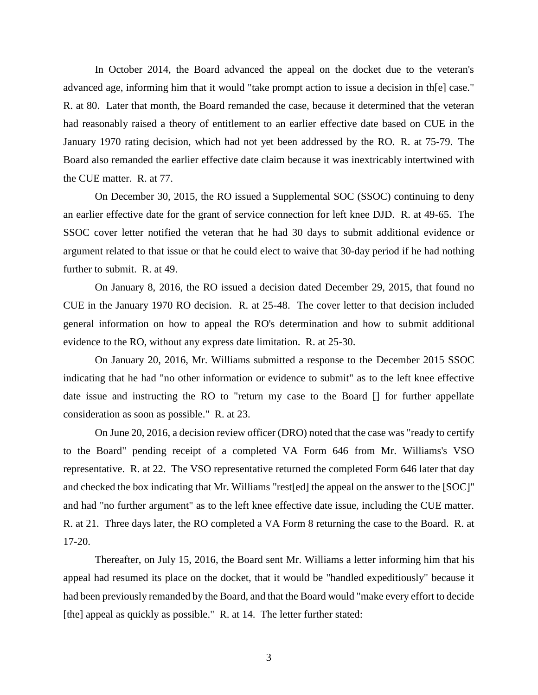In October 2014, the Board advanced the appeal on the docket due to the veteran's advanced age, informing him that it would "take prompt action to issue a decision in th[e] case." R. at 80. Later that month, the Board remanded the case, because it determined that the veteran had reasonably raised a theory of entitlement to an earlier effective date based on CUE in the January 1970 rating decision, which had not yet been addressed by the RO. R. at 75-79. The Board also remanded the earlier effective date claim because it was inextricably intertwined with the CUE matter. R. at 77.

On December 30, 2015, the RO issued a Supplemental SOC (SSOC) continuing to deny an earlier effective date for the grant of service connection for left knee DJD. R. at 49-65. The SSOC cover letter notified the veteran that he had 30 days to submit additional evidence or argument related to that issue or that he could elect to waive that 30-day period if he had nothing further to submit. R. at 49.

On January 8, 2016, the RO issued a decision dated December 29, 2015, that found no CUE in the January 1970 RO decision. R. at 25-48. The cover letter to that decision included general information on how to appeal the RO's determination and how to submit additional evidence to the RO, without any express date limitation. R. at 25-30.

On January 20, 2016, Mr. Williams submitted a response to the December 2015 SSOC indicating that he had "no other information or evidence to submit" as to the left knee effective date issue and instructing the RO to "return my case to the Board [] for further appellate consideration as soon as possible." R. at 23.

On June 20, 2016, a decision review officer (DRO) noted that the case was "ready to certify to the Board" pending receipt of a completed VA Form 646 from Mr. Williams's VSO representative. R. at 22. The VSO representative returned the completed Form 646 later that day and checked the box indicating that Mr. Williams "rest[ed] the appeal on the answer to the [SOC]" and had "no further argument" as to the left knee effective date issue, including the CUE matter. R. at 21. Three days later, the RO completed a VA Form 8 returning the case to the Board. R. at 17-20.

Thereafter, on July 15, 2016, the Board sent Mr. Williams a letter informing him that his appeal had resumed its place on the docket, that it would be "handled expeditiously" because it had been previously remanded by the Board, and that the Board would "make every effort to decide [the] appeal as quickly as possible." R. at 14. The letter further stated: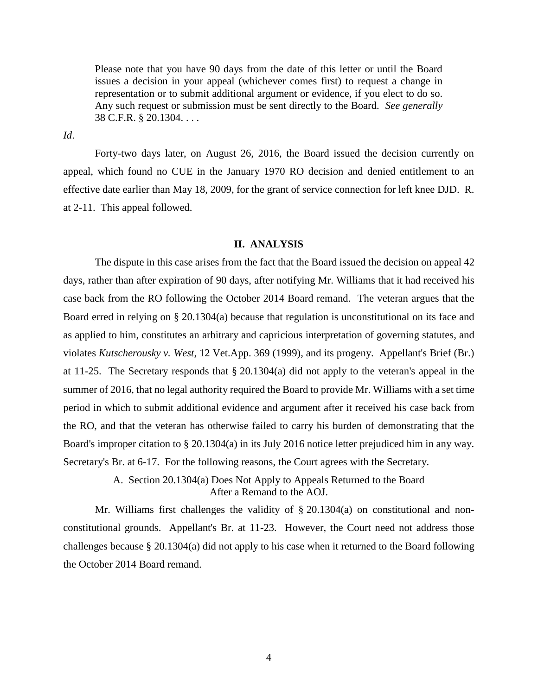Please note that you have 90 days from the date of this letter or until the Board issues a decision in your appeal (whichever comes first) to request a change in representation or to submit additional argument or evidence, if you elect to do so. Any such request or submission must be sent directly to the Board. *See generally* 38 C.F.R. § 20.1304. . . .

*Id*.

Forty-two days later, on August 26, 2016, the Board issued the decision currently on appeal, which found no CUE in the January 1970 RO decision and denied entitlement to an effective date earlier than May 18, 2009, for the grant of service connection for left knee DJD. R. at 2-11. This appeal followed.

### **II. ANALYSIS**

The dispute in this case arises from the fact that the Board issued the decision on appeal 42 days, rather than after expiration of 90 days, after notifying Mr. Williams that it had received his case back from the RO following the October 2014 Board remand. The veteran argues that the Board erred in relying on § 20.1304(a) because that regulation is unconstitutional on its face and as applied to him, constitutes an arbitrary and capricious interpretation of governing statutes, and violates *Kutscherousky v. West*, 12 Vet.App. 369 (1999), and its progeny. Appellant's Brief (Br.) at 11-25. The Secretary responds that § 20.1304(a) did not apply to the veteran's appeal in the summer of 2016, that no legal authority required the Board to provide Mr. Williams with a set time period in which to submit additional evidence and argument after it received his case back from the RO, and that the veteran has otherwise failed to carry his burden of demonstrating that the Board's improper citation to § 20.1304(a) in its July 2016 notice letter prejudiced him in any way. Secretary's Br. at 6-17. For the following reasons, the Court agrees with the Secretary.

> A. Section 20.1304(a) Does Not Apply to Appeals Returned to the Board After a Remand to the AOJ.

Mr. Williams first challenges the validity of § 20.1304(a) on constitutional and nonconstitutional grounds. Appellant's Br. at 11-23. However, the Court need not address those challenges because § 20.1304(a) did not apply to his case when it returned to the Board following the October 2014 Board remand.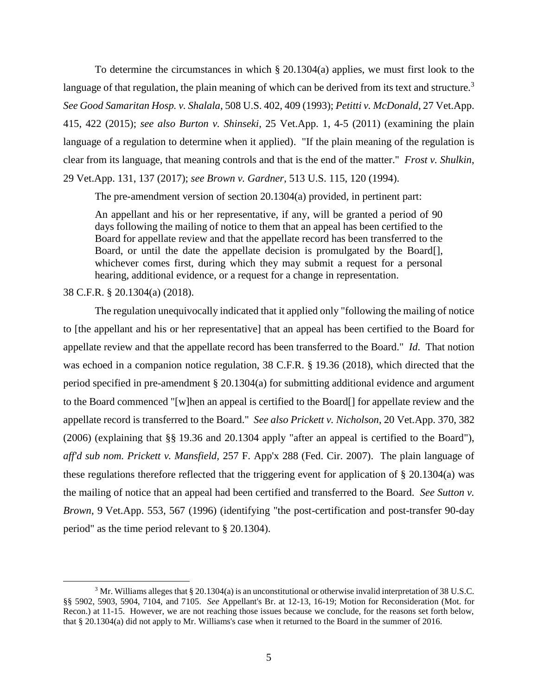To determine the circumstances in which § 20.1304(a) applies, we must first look to the language of that regulation, the plain meaning of which can be derived from its text and structure.<sup>3</sup> *See Good Samaritan Hosp. v. Shalala*, 508 U.S. 402, 409 (1993); *Petitti v. McDonald*, 27 Vet.App. 415, 422 (2015); *see also Burton v. Shinseki*, 25 Vet.App. 1, 4-5 (2011) (examining the plain language of a regulation to determine when it applied). "If the plain meaning of the regulation is clear from its language, that meaning controls and that is the end of the matter." *Frost v. Shulkin*, 29 Vet.App. 131, 137 (2017); *see Brown v. Gardner*, 513 U.S. 115, 120 (1994).

The pre-amendment version of section 20.1304(a) provided, in pertinent part:

An appellant and his or her representative, if any, will be granted a period of 90 days following the mailing of notice to them that an appeal has been certified to the Board for appellate review and that the appellate record has been transferred to the Board, or until the date the appellate decision is promulgated by the Board[], whichever comes first, during which they may submit a request for a personal hearing, additional evidence, or a request for a change in representation.

38 C.F.R. § 20.1304(a) (2018).

 $\overline{a}$ 

The regulation unequivocally indicated that it applied only "following the mailing of notice to [the appellant and his or her representative] that an appeal has been certified to the Board for appellate review and that the appellate record has been transferred to the Board." *Id*. That notion was echoed in a companion notice regulation, 38 C.F.R. § 19.36 (2018), which directed that the period specified in pre-amendment § 20.1304(a) for submitting additional evidence and argument to the Board commenced "[w]hen an appeal is certified to the Board[] for appellate review and the appellate record is transferred to the Board." *See also Prickett v. Nicholson*, 20 Vet.App. 370, 382 (2006) (explaining that §§ 19.36 and 20.1304 apply "after an appeal is certified to the Board"), *aff'd sub nom. Prickett v. Mansfield,* 257 F. App'x 288 (Fed. Cir. 2007). The plain language of these regulations therefore reflected that the triggering event for application of § 20.1304(a) was the mailing of notice that an appeal had been certified and transferred to the Board. *See Sutton v. Brown*, 9 Vet.App. 553, 567 (1996) (identifying "the post-certification and post-transfer 90-day period" as the time period relevant to § 20.1304).

<sup>&</sup>lt;sup>3</sup> Mr. Williams alleges that § 20.1304(a) is an unconstitutional or otherwise invalid interpretation of 38 U.S.C. §§ 5902, 5903, 5904, 7104, and 7105. *See* Appellant's Br. at 12-13, 16-19; Motion for Reconsideration (Mot. for Recon.) at 11-15. However, we are not reaching those issues because we conclude, for the reasons set forth below, that § 20.1304(a) did not apply to Mr. Williams's case when it returned to the Board in the summer of 2016.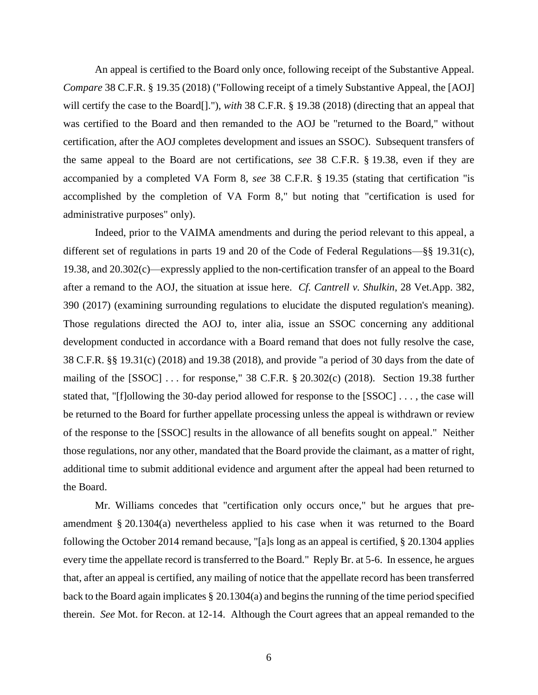An appeal is certified to the Board only once, following receipt of the Substantive Appeal. *Compare* 38 C.F.R. § 19.35 (2018) ("Following receipt of a timely Substantive Appeal, the [AOJ] will certify the case to the Board[]."), *with* 38 C.F.R. § 19.38 (2018) (directing that an appeal that was certified to the Board and then remanded to the AOJ be "returned to the Board," without certification, after the AOJ completes development and issues an SSOC). Subsequent transfers of the same appeal to the Board are not certifications, *see* 38 C.F.R. § 19.38, even if they are accompanied by a completed VA Form 8, *see* 38 C.F.R. § 19.35 (stating that certification "is accomplished by the completion of VA Form 8," but noting that "certification is used for administrative purposes" only).

Indeed, prior to the VAIMA amendments and during the period relevant to this appeal, a different set of regulations in parts 19 and 20 of the Code of Federal Regulations—§§ 19.31(c), 19.38, and 20.302(c)—expressly applied to the non-certification transfer of an appeal to the Board after a remand to the AOJ, the situation at issue here. *Cf. Cantrell v. Shulkin*, 28 Vet.App. 382, 390 (2017) (examining surrounding regulations to elucidate the disputed regulation's meaning). Those regulations directed the AOJ to, inter alia, issue an SSOC concerning any additional development conducted in accordance with a Board remand that does not fully resolve the case, 38 C.F.R. §§ 19.31(c) (2018) and 19.38 (2018), and provide "a period of 30 days from the date of mailing of the [SSOC] . . . for response," 38 C.F.R. § 20.302(c) (2018). Section 19.38 further stated that, "[f]ollowing the 30-day period allowed for response to the [SSOC] . . . , the case will be returned to the Board for further appellate processing unless the appeal is withdrawn or review of the response to the [SSOC] results in the allowance of all benefits sought on appeal." Neither those regulations, nor any other, mandated that the Board provide the claimant, as a matter of right, additional time to submit additional evidence and argument after the appeal had been returned to the Board.

Mr. Williams concedes that "certification only occurs once," but he argues that preamendment § 20.1304(a) nevertheless applied to his case when it was returned to the Board following the October 2014 remand because, "[a]s long as an appeal is certified, § 20.1304 applies every time the appellate record is transferred to the Board." Reply Br. at 5-6. In essence, he argues that, after an appeal is certified, any mailing of notice that the appellate record has been transferred back to the Board again implicates § 20.1304(a) and begins the running of the time period specified therein. *See* Mot. for Recon. at 12-14. Although the Court agrees that an appeal remanded to the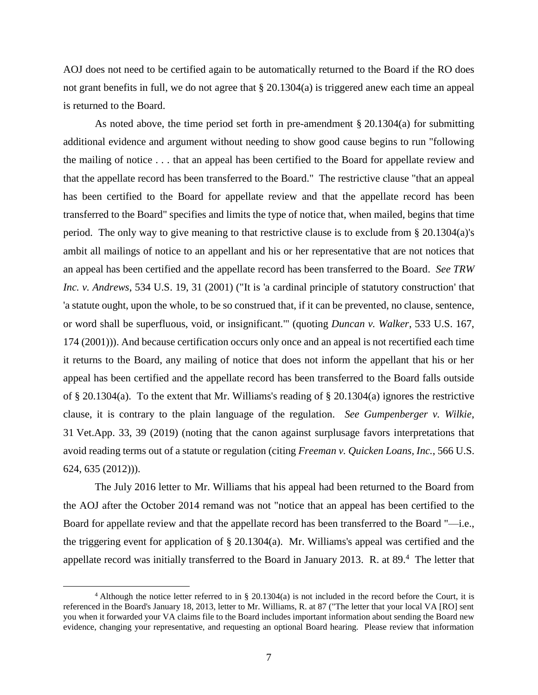AOJ does not need to be certified again to be automatically returned to the Board if the RO does not grant benefits in full, we do not agree that § 20.1304(a) is triggered anew each time an appeal is returned to the Board.

As noted above, the time period set forth in pre-amendment § 20.1304(a) for submitting additional evidence and argument without needing to show good cause begins to run "following the mailing of notice . . . that an appeal has been certified to the Board for appellate review and that the appellate record has been transferred to the Board." The restrictive clause "that an appeal has been certified to the Board for appellate review and that the appellate record has been transferred to the Board" specifies and limits the type of notice that, when mailed, begins that time period. The only way to give meaning to that restrictive clause is to exclude from § 20.1304(a)'s ambit all mailings of notice to an appellant and his or her representative that are not notices that an appeal has been certified and the appellate record has been transferred to the Board. *See TRW Inc. v. Andrews*, 534 U.S. 19, 31 (2001) ("It is 'a cardinal principle of statutory construction' that 'a statute ought, upon the whole, to be so construed that, if it can be prevented, no clause, sentence, or word shall be superfluous, void, or insignificant.'" (quoting *Duncan v. Walker*, 533 U.S. 167, 174 (2001))). And because certification occurs only once and an appeal is not recertified each time it returns to the Board, any mailing of notice that does not inform the appellant that his or her appeal has been certified and the appellate record has been transferred to the Board falls outside of § 20.1304(a). To the extent that Mr. Williams's reading of § 20.1304(a) ignores the restrictive clause, it is contrary to the plain language of the regulation. *See Gumpenberger v. Wilkie*, 31 Vet.App. 33, 39 (2019) (noting that the canon against surplusage favors interpretations that avoid reading terms out of a statute or regulation (citing *Freeman v. Quicken Loans, Inc.*, 566 U.S. 624, 635 (2012))).

The July 2016 letter to Mr. Williams that his appeal had been returned to the Board from the AOJ after the October 2014 remand was not "notice that an appeal has been certified to the Board for appellate review and that the appellate record has been transferred to the Board "—i.e., the triggering event for application of § 20.1304(a). Mr. Williams's appeal was certified and the appellate record was initially transferred to the Board in January 2013. R. at  $89<sup>4</sup>$  The letter that

<sup>&</sup>lt;sup>4</sup> Although the notice letter referred to in § 20.1304(a) is not included in the record before the Court, it is referenced in the Board's January 18, 2013, letter to Mr. Williams, R. at 87 ("The letter that your local VA [RO] sent you when it forwarded your VA claims file to the Board includes important information about sending the Board new evidence, changing your representative, and requesting an optional Board hearing. Please review that information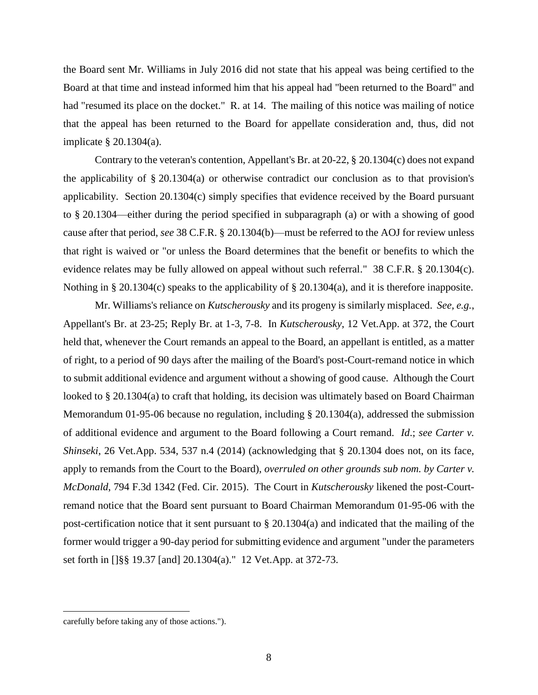the Board sent Mr. Williams in July 2016 did not state that his appeal was being certified to the Board at that time and instead informed him that his appeal had "been returned to the Board" and had "resumed its place on the docket." R. at 14. The mailing of this notice was mailing of notice that the appeal has been returned to the Board for appellate consideration and, thus, did not implicate § 20.1304(a).

Contrary to the veteran's contention, Appellant's Br. at 20-22, § 20.1304(c) does not expand the applicability of § 20.1304(a) or otherwise contradict our conclusion as to that provision's applicability. Section 20.1304(c) simply specifies that evidence received by the Board pursuant to § 20.1304—either during the period specified in subparagraph (a) or with a showing of good cause after that period, *see* 38 C.F.R. § 20.1304(b)—must be referred to the AOJ for review unless that right is waived or "or unless the Board determines that the benefit or benefits to which the evidence relates may be fully allowed on appeal without such referral." 38 C.F.R. § 20.1304(c). Nothing in § 20.1304(c) speaks to the applicability of § 20.1304(a), and it is therefore inapposite.

Mr. Williams's reliance on *Kutscherousky* and its progeny is similarly misplaced. *See, e.g.*, Appellant's Br. at 23-25; Reply Br. at 1-3, 7-8. In *Kutscherousky*, 12 Vet.App. at 372, the Court held that, whenever the Court remands an appeal to the Board, an appellant is entitled, as a matter of right, to a period of 90 days after the mailing of the Board's post-Court-remand notice in which to submit additional evidence and argument without a showing of good cause. Although the Court looked to § 20.1304(a) to craft that holding, its decision was ultimately based on Board Chairman Memorandum 01-95-06 because no regulation, including § 20.1304(a), addressed the submission of additional evidence and argument to the Board following a Court remand. *Id*.; *see Carter v. Shinseki*, 26 Vet.App. 534, 537 n.4 (2014) (acknowledging that § 20.1304 does not, on its face, apply to remands from the Court to the Board), *overruled on other grounds sub nom. by Carter v. McDonald*, 794 F.3d 1342 (Fed. Cir. 2015). The Court in *Kutscherousky* likened the post-Courtremand notice that the Board sent pursuant to Board Chairman Memorandum 01-95-06 with the post-certification notice that it sent pursuant to § 20.1304(a) and indicated that the mailing of the former would trigger a 90-day period for submitting evidence and argument "under the parameters set forth in []§§ 19.37 [and] 20.1304(a)." 12 Vet.App. at 372-73.

carefully before taking any of those actions.").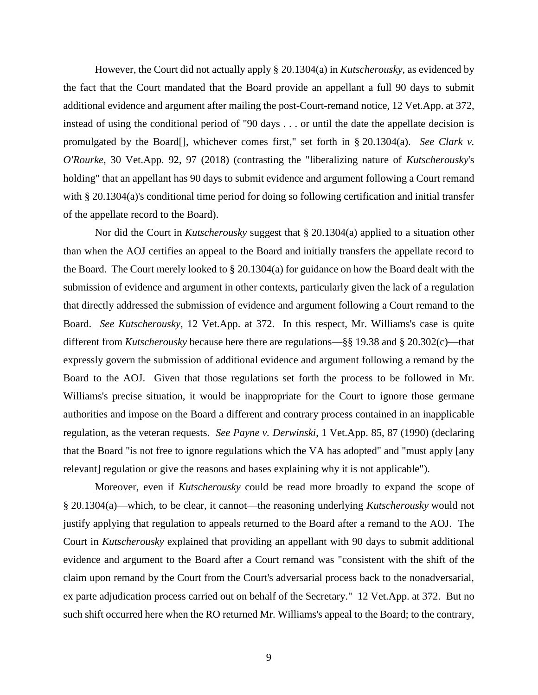However, the Court did not actually apply § 20.1304(a) in *Kutscherousky*, as evidenced by the fact that the Court mandated that the Board provide an appellant a full 90 days to submit additional evidence and argument after mailing the post-Court-remand notice, 12 Vet.App. at 372, instead of using the conditional period of "90 days . . . or until the date the appellate decision is promulgated by the Board[], whichever comes first," set forth in § 20.1304(a). *See Clark v. O'Rourke*, 30 Vet.App. 92, 97 (2018) (contrasting the "liberalizing nature of *Kutscherousky*'s holding" that an appellant has 90 days to submit evidence and argument following a Court remand with § 20.1304(a)'s conditional time period for doing so following certification and initial transfer of the appellate record to the Board).

Nor did the Court in *Kutscherousky* suggest that § 20.1304(a) applied to a situation other than when the AOJ certifies an appeal to the Board and initially transfers the appellate record to the Board. The Court merely looked to § 20.1304(a) for guidance on how the Board dealt with the submission of evidence and argument in other contexts, particularly given the lack of a regulation that directly addressed the submission of evidence and argument following a Court remand to the Board. *See Kutscherousky*, 12 Vet.App. at 372. In this respect, Mr. Williams's case is quite different from *Kutscherousky* because here there are regulations—§§ 19.38 and § 20.302(c)—that expressly govern the submission of additional evidence and argument following a remand by the Board to the AOJ. Given that those regulations set forth the process to be followed in Mr. Williams's precise situation, it would be inappropriate for the Court to ignore those germane authorities and impose on the Board a different and contrary process contained in an inapplicable regulation, as the veteran requests. *See Payne v. Derwinski*, 1 Vet.App. 85, 87 (1990) (declaring that the Board "is not free to ignore regulations which the VA has adopted" and "must apply [any relevant] regulation or give the reasons and bases explaining why it is not applicable").

Moreover, even if *Kutscherousky* could be read more broadly to expand the scope of § 20.1304(a)—which, to be clear, it cannot—the reasoning underlying *Kutscherousky* would not justify applying that regulation to appeals returned to the Board after a remand to the AOJ. The Court in *Kutscherousky* explained that providing an appellant with 90 days to submit additional evidence and argument to the Board after a Court remand was "consistent with the shift of the claim upon remand by the Court from the Court's adversarial process back to the nonadversarial, ex parte adjudication process carried out on behalf of the Secretary." 12 Vet.App. at 372. But no such shift occurred here when the RO returned Mr. Williams's appeal to the Board; to the contrary,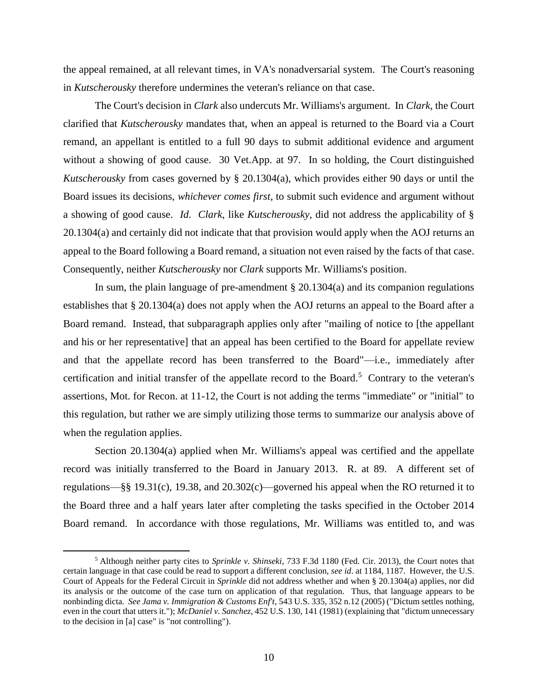the appeal remained, at all relevant times, in VA's nonadversarial system. The Court's reasoning in *Kutscherousky* therefore undermines the veteran's reliance on that case.

The Court's decision in *Clark* also undercuts Mr. Williams's argument. In *Clark*, the Court clarified that *Kutscherousky* mandates that, when an appeal is returned to the Board via a Court remand, an appellant is entitled to a full 90 days to submit additional evidence and argument without a showing of good cause. 30 Vet.App. at 97. In so holding, the Court distinguished *Kutscherousky* from cases governed by § 20.1304(a), which provides either 90 days or until the Board issues its decisions, *whichever comes first*, to submit such evidence and argument without a showing of good cause. *Id*. *Clark*, like *Kutscherousky*, did not address the applicability of § 20.1304(a) and certainly did not indicate that that provision would apply when the AOJ returns an appeal to the Board following a Board remand, a situation not even raised by the facts of that case. Consequently, neither *Kutscherousky* nor *Clark* supports Mr. Williams's position.

In sum, the plain language of pre-amendment  $\S 20.1304(a)$  and its companion regulations establishes that § 20.1304(a) does not apply when the AOJ returns an appeal to the Board after a Board remand. Instead, that subparagraph applies only after "mailing of notice to [the appellant and his or her representative] that an appeal has been certified to the Board for appellate review and that the appellate record has been transferred to the Board"—i.e., immediately after certification and initial transfer of the appellate record to the Board.<sup>5</sup> Contrary to the veteran's assertions, Mot. for Recon. at 11-12, the Court is not adding the terms "immediate" or "initial" to this regulation, but rather we are simply utilizing those terms to summarize our analysis above of when the regulation applies.

Section 20.1304(a) applied when Mr. Williams's appeal was certified and the appellate record was initially transferred to the Board in January 2013. R. at 89. A different set of regulations—§§ 19.31(c), 19.38, and 20.302(c)—governed his appeal when the RO returned it to the Board three and a half years later after completing the tasks specified in the October 2014 Board remand. In accordance with those regulations, Mr. Williams was entitled to, and was

<sup>5</sup> Although neither party cites to *Sprinkle v. Shinseki*, 733 F.3d 1180 (Fed. Cir. 2013), the Court notes that certain language in that case could be read to support a different conclusion, *see id*. at 1184, 1187. However, the U.S. Court of Appeals for the Federal Circuit in *Sprinkle* did not address whether and when § 20.1304(a) applies, nor did its analysis or the outcome of the case turn on application of that regulation. Thus, that language appears to be nonbinding dicta. *See Jama v. Immigration & Customs Enf't*, 543 U.S. 335, 352 n.12 (2005) ("Dictum settles nothing, even in the court that utters it."); *McDaniel v. Sanchez*, 452 U.S. 130, 141 (1981) (explaining that "dictum unnecessary to the decision in [a] case" is "not controlling").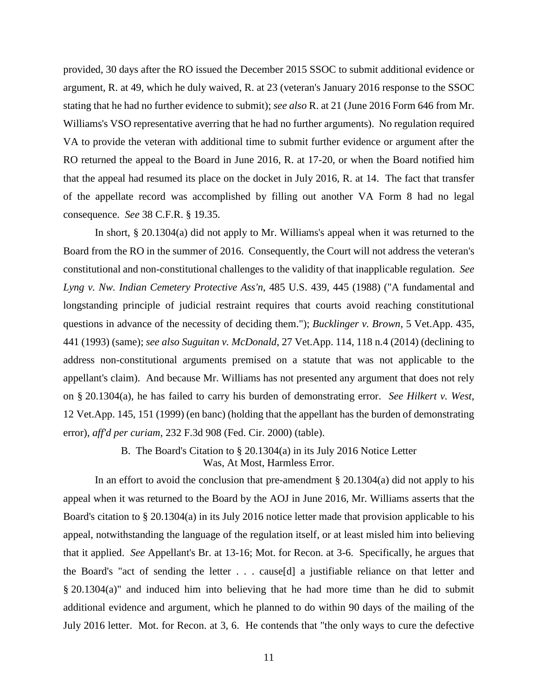provided, 30 days after the RO issued the December 2015 SSOC to submit additional evidence or argument, R. at 49, which he duly waived, R. at 23 (veteran's January 2016 response to the SSOC stating that he had no further evidence to submit); *see also* R. at 21 (June 2016 Form 646 from Mr. Williams's VSO representative averring that he had no further arguments). No regulation required VA to provide the veteran with additional time to submit further evidence or argument after the RO returned the appeal to the Board in June 2016, R. at 17-20, or when the Board notified him that the appeal had resumed its place on the docket in July 2016, R. at 14. The fact that transfer of the appellate record was accomplished by filling out another VA Form 8 had no legal consequence. *See* 38 C.F.R. § 19.35.

In short, § 20.1304(a) did not apply to Mr. Williams's appeal when it was returned to the Board from the RO in the summer of 2016. Consequently, the Court will not address the veteran's constitutional and non-constitutional challenges to the validity of that inapplicable regulation. *See Lyng v. Nw. Indian Cemetery Protective Ass'n*, 485 U.S. 439, 445 (1988) ("A fundamental and longstanding principle of judicial restraint requires that courts avoid reaching constitutional questions in advance of the necessity of deciding them."); *Bucklinger v. Brown*, 5 Vet.App. 435, 441 (1993) (same); *see also Suguitan v. McDonald*, 27 Vet.App. 114, 118 n.4 (2014) (declining to address non-constitutional arguments premised on a statute that was not applicable to the appellant's claim). And because Mr. Williams has not presented any argument that does not rely on § 20.1304(a), he has failed to carry his burden of demonstrating error. *See Hilkert v. West*, 12 Vet.App. 145, 151 (1999) (en banc) (holding that the appellant has the burden of demonstrating error), *aff'd per curiam*, 232 F.3d 908 (Fed. Cir. 2000) (table).

> B. The Board's Citation to § 20.1304(a) in its July 2016 Notice Letter Was, At Most, Harmless Error.

In an effort to avoid the conclusion that pre-amendment  $\S 20.1304(a)$  did not apply to his appeal when it was returned to the Board by the AOJ in June 2016, Mr. Williams asserts that the Board's citation to § 20.1304(a) in its July 2016 notice letter made that provision applicable to his appeal, notwithstanding the language of the regulation itself, or at least misled him into believing that it applied. *See* Appellant's Br. at 13-16; Mot. for Recon. at 3-6. Specifically, he argues that the Board's "act of sending the letter . . . cause[d] a justifiable reliance on that letter and § 20.1304(a)" and induced him into believing that he had more time than he did to submit additional evidence and argument, which he planned to do within 90 days of the mailing of the July 2016 letter. Mot. for Recon. at 3, 6. He contends that "the only ways to cure the defective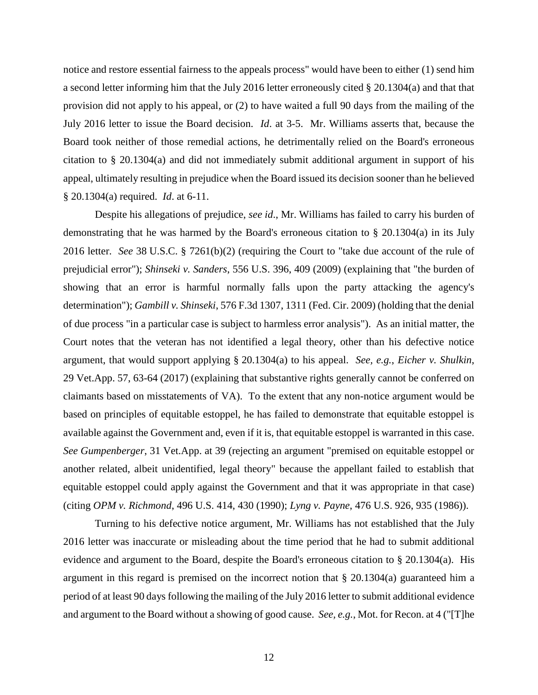notice and restore essential fairness to the appeals process" would have been to either (1) send him a second letter informing him that the July 2016 letter erroneously cited § 20.1304(a) and that that provision did not apply to his appeal, or (2) to have waited a full 90 days from the mailing of the July 2016 letter to issue the Board decision. *Id*. at 3-5. Mr. Williams asserts that, because the Board took neither of those remedial actions, he detrimentally relied on the Board's erroneous citation to § 20.1304(a) and did not immediately submit additional argument in support of his appeal, ultimately resulting in prejudice when the Board issued its decision sooner than he believed § 20.1304(a) required. *Id*. at 6-11.

Despite his allegations of prejudice, *see id*., Mr. Williams has failed to carry his burden of demonstrating that he was harmed by the Board's erroneous citation to § 20.1304(a) in its July 2016 letter. *See* 38 U.S.C. § 7261(b)(2) (requiring the Court to "take due account of the rule of prejudicial error"); *Shinseki v. Sanders*, 556 U.S. 396, 409 (2009) (explaining that "the burden of showing that an error is harmful normally falls upon the party attacking the agency's determination"); *Gambill v. Shinseki*, 576 F.3d 1307, 1311 (Fed. Cir. 2009) (holding that the denial of due process "in a particular case is subject to harmless error analysis"). As an initial matter, the Court notes that the veteran has not identified a legal theory, other than his defective notice argument, that would support applying § 20.1304(a) to his appeal. *See, e.g.*, *Eicher v. Shulkin*, 29 Vet.App. 57, 63-64 (2017) (explaining that substantive rights generally cannot be conferred on claimants based on misstatements of VA). To the extent that any non-notice argument would be based on principles of equitable estoppel, he has failed to demonstrate that equitable estoppel is available against the Government and, even if it is, that equitable estoppel is warranted in this case. *See Gumpenberger*, 31 Vet.App. at 39 (rejecting an argument "premised on equitable estoppel or another related, albeit unidentified, legal theory" because the appellant failed to establish that equitable estoppel could apply against the Government and that it was appropriate in that case) (citing *OPM v. Richmond*, 496 U.S. 414, 430 (1990); *Lyng v. Payne*, 476 U.S. 926, 935 (1986)).

Turning to his defective notice argument, Mr. Williams has not established that the July 2016 letter was inaccurate or misleading about the time period that he had to submit additional evidence and argument to the Board, despite the Board's erroneous citation to § 20.1304(a). His argument in this regard is premised on the incorrect notion that § 20.1304(a) guaranteed him a period of at least 90 days following the mailing of the July 2016 letter to submit additional evidence and argument to the Board without a showing of good cause. *See, e.g.*, Mot. for Recon. at 4 ("[T]he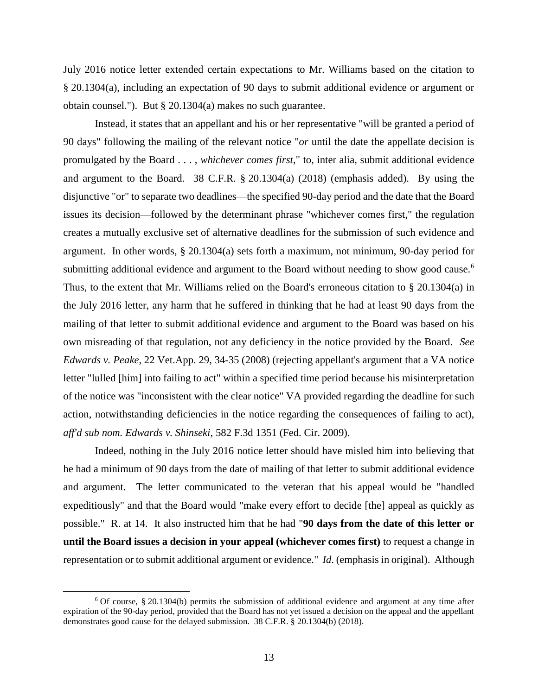July 2016 notice letter extended certain expectations to Mr. Williams based on the citation to § 20.1304(a), including an expectation of 90 days to submit additional evidence or argument or obtain counsel."). But § 20.1304(a) makes no such guarantee.

Instead, it states that an appellant and his or her representative "will be granted a period of 90 days" following the mailing of the relevant notice "*or* until the date the appellate decision is promulgated by the Board . . . , *whichever comes first*," to, inter alia, submit additional evidence and argument to the Board. 38 C.F.R. § 20.1304(a) (2018) (emphasis added). By using the disjunctive "or" to separate two deadlines—the specified 90-day period and the date that the Board issues its decision—followed by the determinant phrase "whichever comes first," the regulation creates a mutually exclusive set of alternative deadlines for the submission of such evidence and argument. In other words, § 20.1304(a) sets forth a maximum, not minimum, 90-day period for submitting additional evidence and argument to the Board without needing to show good cause.<sup>6</sup> Thus, to the extent that Mr. Williams relied on the Board's erroneous citation to  $\S 20.1304(a)$  in the July 2016 letter, any harm that he suffered in thinking that he had at least 90 days from the mailing of that letter to submit additional evidence and argument to the Board was based on his own misreading of that regulation, not any deficiency in the notice provided by the Board. *See Edwards v. Peake*, 22 Vet.App. 29, 34-35 (2008) (rejecting appellant's argument that a VA notice letter "lulled [him] into failing to act" within a specified time period because his misinterpretation of the notice was "inconsistent with the clear notice" VA provided regarding the deadline for such action, notwithstanding deficiencies in the notice regarding the consequences of failing to act), *aff'd sub nom. Edwards v. Shinseki*, 582 F.3d 1351 (Fed. Cir. 2009).

Indeed, nothing in the July 2016 notice letter should have misled him into believing that he had a minimum of 90 days from the date of mailing of that letter to submit additional evidence and argument. The letter communicated to the veteran that his appeal would be "handled expeditiously" and that the Board would "make every effort to decide [the] appeal as quickly as possible." R. at 14. It also instructed him that he had "**90 days from the date of this letter or until the Board issues a decision in your appeal (whichever comes first)** to request a change in representation or to submit additional argument or evidence." *Id*. (emphasis in original). Although

<sup>6</sup> Of course, § 20.1304(b) permits the submission of additional evidence and argument at any time after expiration of the 90-day period, provided that the Board has not yet issued a decision on the appeal and the appellant demonstrates good cause for the delayed submission. 38 C.F.R. § 20.1304(b) (2018).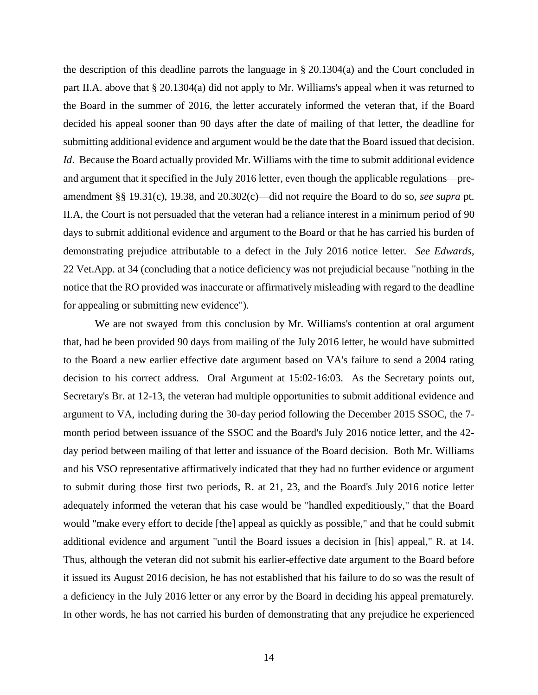the description of this deadline parrots the language in  $\S 20.1304(a)$  and the Court concluded in part II.A. above that § 20.1304(a) did not apply to Mr. Williams's appeal when it was returned to the Board in the summer of 2016, the letter accurately informed the veteran that, if the Board decided his appeal sooner than 90 days after the date of mailing of that letter, the deadline for submitting additional evidence and argument would be the date that the Board issued that decision. *Id.* Because the Board actually provided Mr. Williams with the time to submit additional evidence and argument that it specified in the July 2016 letter, even though the applicable regulations—preamendment §§ 19.31(c), 19.38, and 20.302(c)—did not require the Board to do so, *see supra* pt. II.A, the Court is not persuaded that the veteran had a reliance interest in a minimum period of 90 days to submit additional evidence and argument to the Board or that he has carried his burden of demonstrating prejudice attributable to a defect in the July 2016 notice letter. *See Edwards*, 22 Vet.App. at 34 (concluding that a notice deficiency was not prejudicial because "nothing in the notice that the RO provided was inaccurate or affirmatively misleading with regard to the deadline for appealing or submitting new evidence").

We are not swayed from this conclusion by Mr. Williams's contention at oral argument that, had he been provided 90 days from mailing of the July 2016 letter, he would have submitted to the Board a new earlier effective date argument based on VA's failure to send a 2004 rating decision to his correct address. Oral Argument at 15:02-16:03. As the Secretary points out, Secretary's Br. at 12-13, the veteran had multiple opportunities to submit additional evidence and argument to VA, including during the 30-day period following the December 2015 SSOC, the 7 month period between issuance of the SSOC and the Board's July 2016 notice letter, and the 42 day period between mailing of that letter and issuance of the Board decision. Both Mr. Williams and his VSO representative affirmatively indicated that they had no further evidence or argument to submit during those first two periods, R. at 21, 23, and the Board's July 2016 notice letter adequately informed the veteran that his case would be "handled expeditiously," that the Board would "make every effort to decide [the] appeal as quickly as possible," and that he could submit additional evidence and argument "until the Board issues a decision in [his] appeal," R. at 14. Thus, although the veteran did not submit his earlier-effective date argument to the Board before it issued its August 2016 decision, he has not established that his failure to do so was the result of a deficiency in the July 2016 letter or any error by the Board in deciding his appeal prematurely. In other words, he has not carried his burden of demonstrating that any prejudice he experienced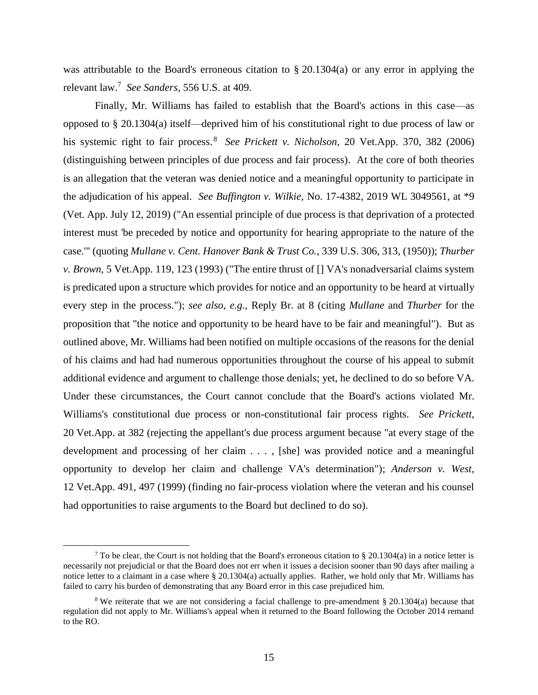was attributable to the Board's erroneous citation to § 20.1304(a) or any error in applying the relevant law. 7 *See Sanders*, 556 U.S. at 409.

Finally, Mr. Williams has failed to establish that the Board's actions in this case—as opposed to § 20.1304(a) itself—deprived him of his constitutional right to due process of law or his systemic right to fair process. 8 *See Prickett v. Nicholson*, 20 Vet.App. 370, 382 (2006) (distinguishing between principles of due process and fair process). At the core of both theories is an allegation that the veteran was denied notice and a meaningful opportunity to participate in the adjudication of his appeal. *See Buffington v. Wilkie*, No. 17-4382, 2019 WL 3049561, at \*9 (Vet. App. July 12, 2019) ("An essential principle of due process is that deprivation of a protected interest must 'be preceded by notice and opportunity for hearing appropriate to the nature of the case.'" (quoting *Mullane v. Cent. Hanover Bank & Trust Co.*, 339 U.S. 306, 313, (1950)); *Thurber v. Brown*, 5 Vet.App. 119, 123 (1993) ("The entire thrust of [] VA's nonadversarial claims system is predicated upon a structure which provides for notice and an opportunity to be heard at virtually every step in the process."); *see also, e.g.,* Reply Br. at 8 (citing *Mullane* and *Thurber* for the proposition that "the notice and opportunity to be heard have to be fair and meaningful"). But as outlined above, Mr. Williams had been notified on multiple occasions of the reasons for the denial of his claims and had had numerous opportunities throughout the course of his appeal to submit additional evidence and argument to challenge those denials; yet, he declined to do so before VA. Under these circumstances, the Court cannot conclude that the Board's actions violated Mr. Williams's constitutional due process or non-constitutional fair process rights. *See Prickett*, 20 Vet.App. at 382 (rejecting the appellant's due process argument because "at every stage of the development and processing of her claim . . . , [she] was provided notice and a meaningful opportunity to develop her claim and challenge VA's determination"); *Anderson v. West*, 12 Vet.App. 491, 497 (1999) (finding no fair-process violation where the veteran and his counsel had opportunities to raise arguments to the Board but declined to do so).

<sup>&</sup>lt;sup>7</sup> To be clear, the Court is not holding that the Board's erroneous citation to § 20.1304(a) in a notice letter is necessarily not prejudicial or that the Board does not err when it issues a decision sooner than 90 days after mailing a notice letter to a claimant in a case where § 20.1304(a) actually applies. Rather, we hold only that Mr. Williams has failed to carry his burden of demonstrating that any Board error in this case prejudiced him.

<sup>8</sup> We reiterate that we are not considering a facial challenge to pre-amendment § 20.1304(a) because that regulation did not apply to Mr. Williams's appeal when it returned to the Board following the October 2014 remand to the RO.